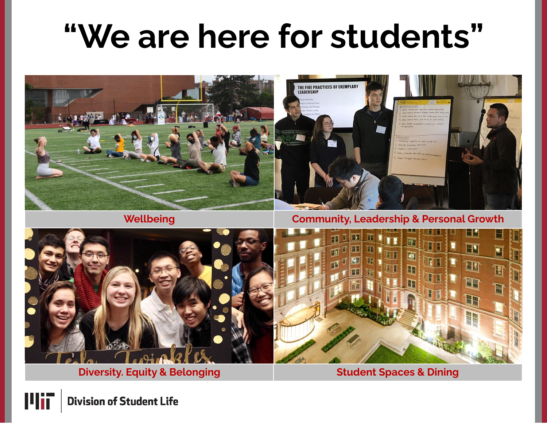## **"We are here for students"**



## **Wellbeing**

### **Community, Leadership & Personal Growth**



**Diversity. Equity & Belonging**



**Student Spaces & Dining**



**Division of Student Life**